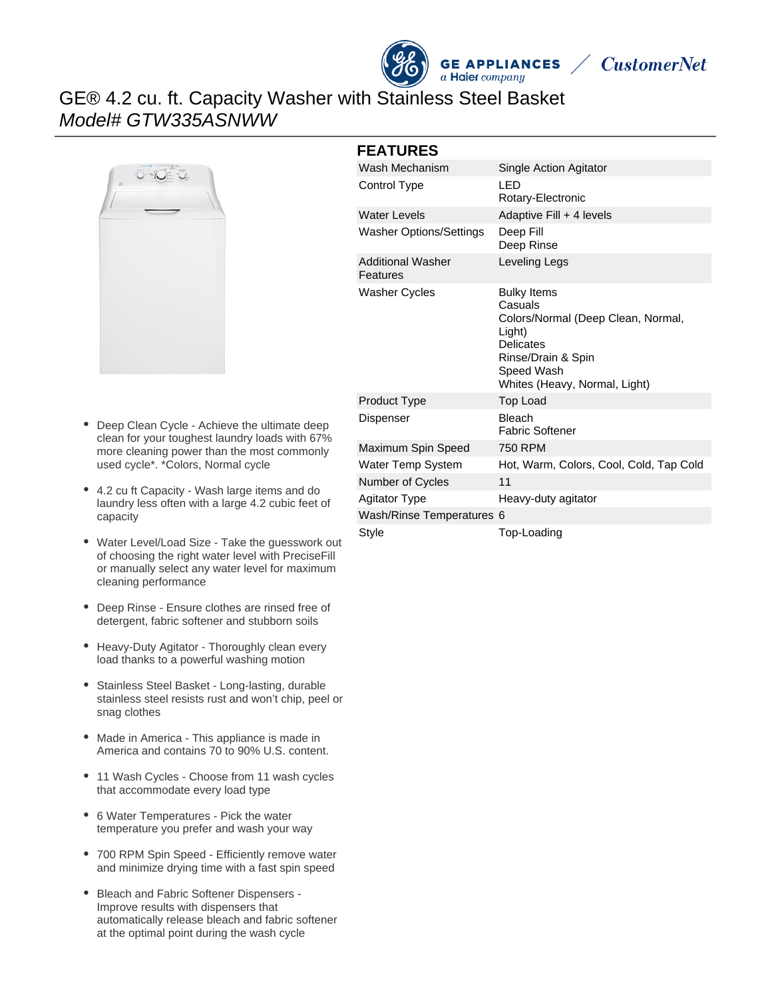



# GE® 4.2 cu. ft. Capacity Washer with Stainless Steel Basket Model# GTW335ASNWW



- Deep Clean Cycle Achieve the ultimate deep clean for your toughest laundry loads with 67% more cleaning power than the most commonly used cycle\*. \*Colors, Normal cycle
- 4.2 cu ft Capacity Wash large items and do laundry less often with a large 4.2 cubic feet of capacity
- Water Level/Load Size Take the guesswork out of choosing the right water level with PreciseFill or manually select any water level for maximum cleaning performance
- Deep Rinse Ensure clothes are rinsed free of detergent, fabric softener and stubborn soils
- Heavy-Duty Agitator Thoroughly clean every load thanks to a powerful washing motion
- Stainless Steel Basket Long-lasting, durable stainless steel resists rust and won't chip, peel or snag clothes
- Made in America This appliance is made in America and contains 70 to 90% U.S. content.
- 11 Wash Cycles Choose from 11 wash cycles that accommodate every load type
- 6 Water Temperatures Pick the water temperature you prefer and wash your way
- 700 RPM Spin Speed Efficiently remove water and minimize drying time with a fast spin speed
- Bleach and Fabric Softener Dispensers Improve results with dispensers that automatically release bleach and fabric softener at the optimal point during the wash cycle

#### **FEATURES**

| Wash Mechanism                       | Single Action Agitator                                                                                                                                                 |
|--------------------------------------|------------------------------------------------------------------------------------------------------------------------------------------------------------------------|
| Control Type                         | LED<br>Rotary-Electronic                                                                                                                                               |
| <b>Water Levels</b>                  | Adaptive Fill + 4 levels                                                                                                                                               |
| <b>Washer Options/Settings</b>       | Deep Fill<br>Deep Rinse                                                                                                                                                |
| <b>Additional Washer</b><br>Features | Leveling Legs                                                                                                                                                          |
| <b>Washer Cycles</b>                 | <b>Bulky Items</b><br>Casuals<br>Colors/Normal (Deep Clean, Normal,<br>Light)<br><b>Delicates</b><br>Rinse/Drain & Spin<br>Speed Wash<br>Whites (Heavy, Normal, Light) |
| Product Type                         | <b>Top Load</b>                                                                                                                                                        |
| Dispenser                            | <b>Bleach</b><br><b>Fabric Softener</b>                                                                                                                                |
| Maximum Spin Speed                   | 750 RPM                                                                                                                                                                |
| Water Temp System                    | Hot, Warm, Colors, Cool, Cold, Tap Cold                                                                                                                                |
| Number of Cycles                     | 11                                                                                                                                                                     |
| <b>Agitator Type</b>                 | Heavy-duty agitator                                                                                                                                                    |
| Wash/Rinse Temperatures 6            |                                                                                                                                                                        |
| Style                                | Top-Loading                                                                                                                                                            |
|                                      |                                                                                                                                                                        |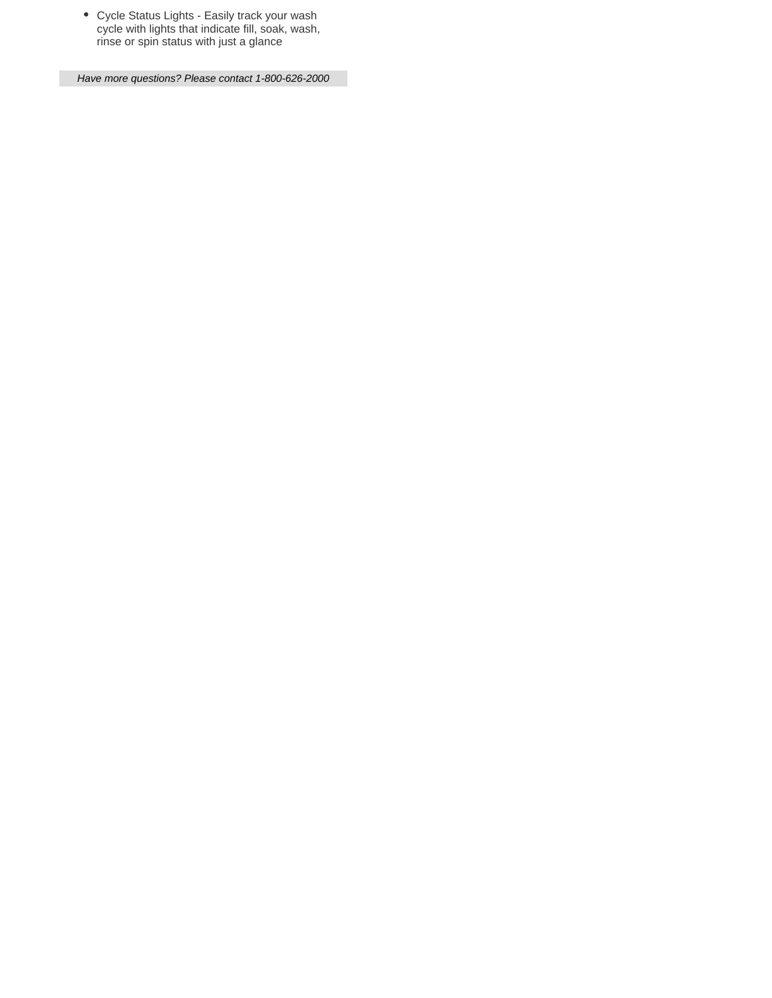Cycle Status Lights - Easily track your wash cycle with lights that indicate fill, soak, wash, rinse or spin status with just a glance

Have more questions? Please contact 1-800-626-2000